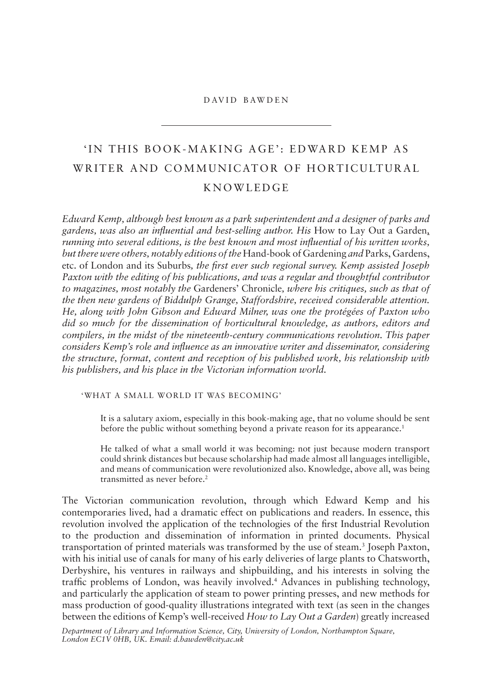# david bawden

# 'IN THIS BOOK-MAKING AGE': EDWARD KEMP AS WRITER AND COMMUNICATOR OF HORTICULTURAL knowledge

*Edward Kemp, although best known as a park superintendent and a designer of parks and*  gardens, was also an influential and best-selling author. His How to Lay Out a Garden, *running into several editions, is the best known and most infuential of his written works, but there were others, notably editions of the* hand-book of gardening *and* parks, gardens, etc. of london and its suburbs*, the frst ever such regional survey. Kemp assisted Joseph Paxton with the editing of his publications, and was a regular and thoughtful contributor to magazines, most notably the* gardeners' chronicle*, where his critiques, such as that of the then new gardens of Biddulph Grange, Staffordshire, received considerable attention. He, along with John Gibson and Edward Milner, was one the protégées of Paxton who did so much for the dissemination of horticultural knowledge, as authors, editors and compilers, in the midst of the nineteenth-century communications revolution. This paper considers Kemp's role and infuence as an innovative writer and disseminator, considering the structure, format, content and reception of his published work, his relationship with his publishers, and his place in the Victorian information world.*

# 'what a small world it was becoming'

It is a salutary axiom, especially in this book-making age, that no volume should be sent before the public without something beyond a private reason for its appearance.<sup>1</sup>

he talked of what a small world it was becoming: not just because modern transport could shrink distances but because scholarship had made almost all languages intelligible, and means of communication were revolutionized also. knowledge, above all, was being transmitted as never before.<sup>2</sup>

The Victorian communication revolution, through which Edward Kemp and his contemporaries lived, had a dramatic effect on publications and readers. in essence, this revolution involved the application of the technologies of the first Industrial Revolution to the production and dissemination of information in printed documents. physical transportation of printed materials was transformed by the use of steam.<sup>3</sup> Joseph Paxton, with his initial use of canals for many of his early deliveries of large plants to chatsworth, Derbyshire, his ventures in railways and shipbuilding, and his interests in solving the traffc problems of london, was heavily involved.4 advances in publishing technology, and particularly the application of steam to power printing presses, and new methods for mass production of good-quality illustrations integrated with text (as seen in the changes between the editions of kemp's well-received *How to Lay Out a Garden*) greatly increased

*Department of Library and Information Science, City, University of London, Northampton Square, London EC1V 0HB, UK. Email: d.bawden@city.ac.uk*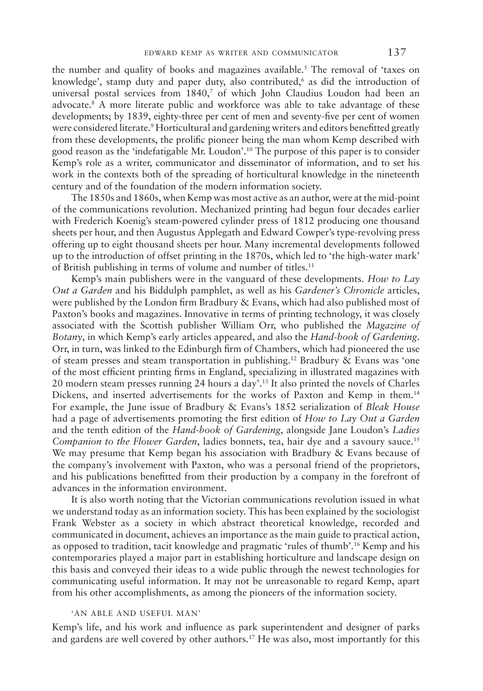the number and quality of books and magazines available.<sup>5</sup> The removal of 'taxes on knowledge', stamp duty and paper duty, also contributed,<sup>6</sup> as did the introduction of universal postal services from 1840,<sup>7</sup> of which John Claudius Loudon had been an advocate.8 a more literate public and workforce was able to take advantage of these developments; by 1839, eighty-three per cent of men and seventy-fve per cent of women were considered literate.<sup>9</sup> Horticultural and gardening writers and editors benefitted greatly from these developments, the prolifc pioneer being the man whom kemp described with good reason as the 'indefatigable mr. loudon'.10 the purpose of this paper is to consider kemp's role as a writer, communicator and disseminator of information, and to set his work in the contexts both of the spreading of horticultural knowledge in the nineteenth century and of the foundation of the modern information society.

The 1850s and 1860s, when Kemp was most active as an author, were at the mid-point of the communications revolution. mechanized printing had begun four decades earlier with frederich koenig's steam-powered cylinder press of 1812 producing one thousand sheets per hour, and then Augustus Applegath and Edward Cowper's type-revolving press offering up to eight thousand sheets per hour. many incremental developments followed up to the introduction of offset printing in the 1870s, which led to 'the high-water mark' of British publishing in terms of volume and number of titles.<sup>11</sup>

kemp's main publishers were in the vanguard of these developments. *How to Lay Out a Garden* and his biddulph pamphlet, as well as his *Gardener's Chronicle* articles, were published by the London firm Bradbury & Evans, which had also published most of paxton's books and magazines. innovative in terms of printing technology, it was closely associated with the scottish publisher william orr, who published the *Magazine of Botany*, in which kemp's early articles appeared, and also the *Hand-book of Gardening*. Orr, in turn, was linked to the Edinburgh firm of Chambers, which had pioneered the use of steam presses and steam transportation in publishing.<sup>12</sup> Bradbury & Evans was 'one of the most efficient printing firms in England, specializing in illustrated magazines with 20 modern steam presses running 24 hours a day'.13 it also printed the novels of charles Dickens, and inserted advertisements for the works of Paxton and Kemp in them.<sup>14</sup> for example, the June issue of bradbury & evans's 1852 serialization of *Bleak House*  had a page of advertisements promoting the frst edition of *How to Lay Out a Garden*  and the tenth edition of the *Hand-book of Gardening*, alongside Jane loudon's *Ladies Companion to the Flower Garden*, ladies bonnets, tea, hair dye and a savoury sauce.15 We may presume that Kemp began his association with Bradbury  $\&$  Evans because of the company's involvement with paxton, who was a personal friend of the proprietors, and his publications beneftted from their production by a company in the forefront of advances in the information environment.

It is also worth noting that the Victorian communications revolution issued in what we understand today as an information society. this has been explained by the sociologist frank webster as a society in which abstract theoretical knowledge, recorded and communicated in document, achieves an importance as the main guide to practical action, as opposed to tradition, tacit knowledge and pragmatic 'rules of thumb'.16 kemp and his contemporaries played a major part in establishing horticulture and landscape design on this basis and conveyed their ideas to a wide public through the newest technologies for communicating useful information. it may not be unreasonable to regard kemp, apart from his other accomplishments, as among the pioneers of the information society.

# 'an able and useful man'

kemp's life, and his work and infuence as park superintendent and designer of parks and gardens are well covered by other authors.17 he was also, most importantly for this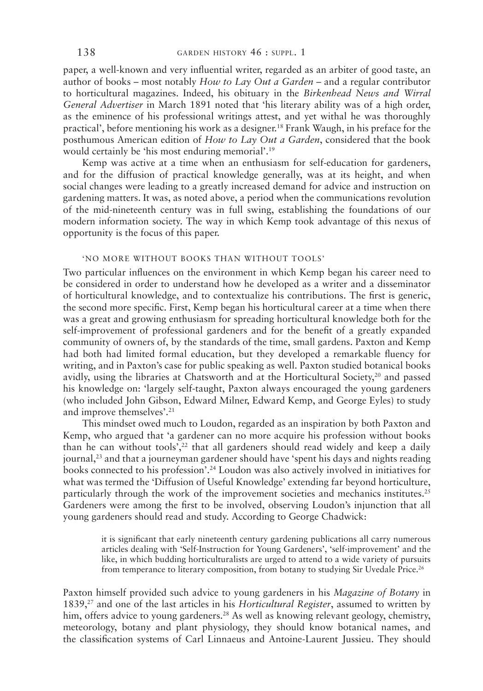paper, a well-known and very infuential writer, regarded as an arbiter of good taste, an author of books – most notably *How to Lay Out a Garden –* and a regular contributor to horticultural magazines. indeed, his obituary in the *Birkenhead News and Wirral General Advertiser* in march 1891 noted that 'his literary ability was of a high order, as the eminence of his professional writings attest, and yet withal he was thoroughly practical', before mentioning his work as a designer.18 frank waugh, in his preface for the posthumous american edition of *How to Lay Out a Garden*, considered that the book would certainly be 'his most enduring memorial'.19

kemp was active at a time when an enthusiasm for self-education for gardeners, and for the diffusion of practical knowledge generally, was at its height, and when social changes were leading to a greatly increased demand for advice and instruction on gardening matters. it was, as noted above, a period when the communications revolution of the mid-nineteenth century was in full swing, establishing the foundations of our modern information society. the way in which kemp took advantage of this nexus of opportunity is the focus of this paper.

# 'no more without books than without tools'

Two particular influences on the environment in which Kemp began his career need to be considered in order to understand how he developed as a writer and a disseminator of horticultural knowledge, and to contextualize his contributions. the frst is generic, the second more specifc. first, kemp began his horticultural career at a time when there was a great and growing enthusiasm for spreading horticultural knowledge both for the self-improvement of professional gardeners and for the beneft of a greatly expanded community of owners of, by the standards of the time, small gardens. paxton and kemp had both had limited formal education, but they developed a remarkable fuency for writing, and in Paxton's case for public speaking as well. Paxton studied botanical books avidly, using the libraries at Chatsworth and at the Horticultural Society,<sup>20</sup> and passed his knowledge on: 'largely self-taught, paxton always encouraged the young gardeners (who included John Gibson, Edward Milner, Edward Kemp, and George Eyles) to study and improve themselves'.21

This mindset owed much to Loudon, regarded as an inspiration by both Paxton and kemp, who argued that 'a gardener can no more acquire his profession without books than he can without tools',<sup>22</sup> that all gardeners should read widely and keep a daily journal,<sup>23</sup> and that a journeyman gardener should have 'spent his days and nights reading books connected to his profession'.24 loudon was also actively involved in initiatives for what was termed the 'Diffusion of Useful Knowledge' extending far beyond horticulture, particularly through the work of the improvement societies and mechanics institutes.25 Gardeners were among the first to be involved, observing Loudon's injunction that all young gardeners should read and study. According to George Chadwick:

> it is signifcant that early nineteenth century gardening publications all carry numerous articles dealing with 'Self-Instruction for Young Gardeners', 'self-improvement' and the like, in which budding horticulturalists are urged to attend to a wide variety of pursuits from temperance to literary composition, from botany to studying Sir Uvedale Price.<sup>26</sup>

paxton himself provided such advice to young gardeners in his *Magazine of Botany* in 1839,27 and one of the last articles in his *Horticultural Register*, assumed to written by him, offers advice to young gardeners.<sup>28</sup> As well as knowing relevant geology, chemistry, meteorology, botany and plant physiology, they should know botanical names, and the classifcation systems of carl linnaeus and antoine-laurent Jussieu. they should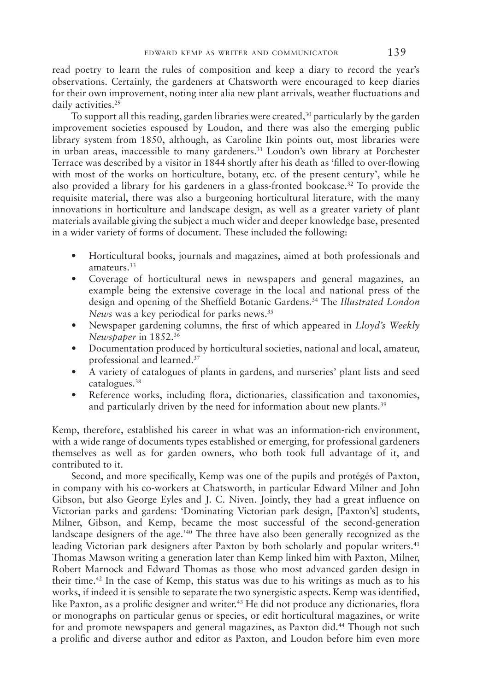read poetry to learn the rules of composition and keep a diary to record the year's observations. certainly, the gardeners at chatsworth were encouraged to keep diaries for their own improvement, noting inter alia new plant arrivals, weather fuctuations and daily activities.<sup>29</sup>

To support all this reading, garden libraries were created,<sup>30</sup> particularly by the garden improvement societies espoused by loudon, and there was also the emerging public library system from 1850, although, as caroline ikin points out, most libraries were in urban areas, inaccessible to many gardeners.<sup>31</sup> Loudon's own library at Porchester Terrace was described by a visitor in 1844 shortly after his death as 'filled to over-flowing with most of the works on horticulture, botany, etc. of the present century', while he also provided a library for his gardeners in a glass-fronted bookcase.<sup>32</sup> To provide the requisite material, there was also a burgeoning horticultural literature, with the many innovations in horticulture and landscape design, as well as a greater variety of plant materials available giving the subject a much wider and deeper knowledge base, presented in a wider variety of forms of document. These included the following:

- horticultural books, journals and magazines, aimed at both professionals and amateurs.33
- coverage of horticultural news in newspapers and general magazines, an example being the extensive coverage in the local and national press of the design and opening of the Sheffield Botanic Gardens.<sup>34</sup> The *Illustrated London News* was a key periodical for parks news.35
- newspaper gardening columns, the frst of which appeared in *Lloyd's Weekly Newspaper* in 1852.36
- Documentation produced by horticultural societies, national and local, amateur, professional and learned.37
- A variety of catalogues of plants in gardens, and nurseries' plant lists and seed catalogues.38
- Reference works, including flora, dictionaries, classification and taxonomies, and particularly driven by the need for information about new plants.<sup>39</sup>

kemp, therefore, established his career in what was an information-rich environment, with a wide range of documents types established or emerging, for professional gardeners themselves as well as for garden owners, who both took full advantage of it, and contributed to it.

second, and more specifcally, kemp was one of the pupils and protégés of paxton, in company with his co-workers at Chatsworth, in particular Edward Milner and John Gibson, but also George Eyles and J. C. Niven. Jointly, they had a great influence on Victorian parks and gardens: 'Dominating Victorian park design, [Paxton's] students, milner, gibson, and kemp, became the most successful of the second-generation landscape designers of the age.<sup>'40</sup> The three have also been generally recognized as the leading Victorian park designers after Paxton by both scholarly and popular writers.<sup>41</sup> Thomas Mawson writing a generation later than Kemp linked him with Paxton, Milner, Robert Marnock and Edward Thomas as those who most advanced garden design in their time.<sup>42</sup> In the case of Kemp, this status was due to his writings as much as to his works, if indeed it is sensible to separate the two synergistic aspects. kemp was identifed, like Paxton, as a prolific designer and writer.<sup>43</sup> He did not produce any dictionaries, flora or monographs on particular genus or species, or edit horticultural magazines, or write for and promote newspapers and general magazines, as Paxton did.<sup>44</sup> Though not such a prolifc and diverse author and editor as paxton, and loudon before him even more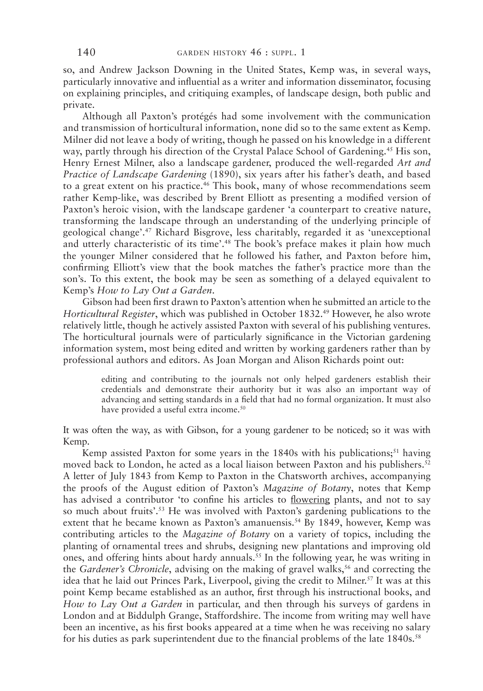so, and Andrew Jackson Downing in the United States, Kemp was, in several ways, particularly innovative and infuential as a writer and information disseminator, focusing on explaining principles, and critiquing examples, of landscape design, both public and private.

although all paxton's protégés had some involvement with the communication and transmission of horticultural information, none did so to the same extent as kemp. milner did not leave a body of writing, though he passed on his knowledge in a different way, partly through his direction of the Crystal Palace School of Gardening.<sup>45</sup> His son, henry ernest milner, also a landscape gardener, produced the well-regarded *Art and Practice of Landscape Gardening* (1890), six years after his father's death, and based to a great extent on his practice.<sup>46</sup> This book, many of whose recommendations seem rather kemp-like, was described by brent elliott as presenting a modifed version of paxton's heroic vision, with the landscape gardener 'a counterpart to creative nature, transforming the landscape through an understanding of the underlying principle of geological change'.47 richard bisgrove, less charitably, regarded it as 'unexceptional and utterly characteristic of its time'.<sup>48</sup> The book's preface makes it plain how much the younger milner considered that he followed his father, and paxton before him, confrming elliott's view that the book matches the father's practice more than the son's. to this extent, the book may be seen as something of a delayed equivalent to kemp's *How to Lay Out a Garden*.

Gibson had been first drawn to Paxton's attention when he submitted an article to the *Horticultural Register*, which was published in October 1832.<sup>49</sup> However, he also wrote relatively little, though he actively assisted paxton with several of his publishing ventures. The horticultural journals were of particularly significance in the Victorian gardening information system, most being edited and written by working gardeners rather than by professional authors and editors. As Joan Morgan and Alison Richards point out:

> editing and contributing to the journals not only helped gardeners establish their credentials and demonstrate their authority but it was also an important way of advancing and setting standards in a feld that had no formal organization. it must also have provided a useful extra income.<sup>50</sup>

It was often the way, as with Gibson, for a young gardener to be noticed; so it was with kemp.

Kemp assisted Paxton for some years in the  $1840s$  with his publications;<sup>51</sup> having moved back to London, he acted as a local liaison between Paxton and his publishers.<sup>52</sup> a letter of July 1843 from kemp to paxton in the chatsworth archives, accompanying the proofs of the August edition of Paxton's *Magazine of Botany*, notes that Kemp has advised a contributor 'to confne his articles to fowering plants, and not to say so much about fruits'.53 he was involved with paxton's gardening publications to the extent that he became known as Paxton's amanuensis.<sup>54</sup> By 1849, however, Kemp was contributing articles to the *Magazine of Botany* on a variety of topics, including the planting of ornamental trees and shrubs, designing new plantations and improving old ones, and offering hints about hardy annuals.55 in the following year, he was writing in the *Gardener's Chronicle*, advising on the making of gravel walks,<sup>56</sup> and correcting the idea that he laid out Princes Park, Liverpool, giving the credit to Milner.<sup>57</sup> It was at this point kemp became established as an author, frst through his instructional books, and *How to Lay Out a Garden* in particular, and then through his surveys of gardens in London and at Biddulph Grange, Staffordshire. The income from writing may well have been an incentive, as his frst books appeared at a time when he was receiving no salary for his duties as park superintendent due to the financial problems of the late 1840s.<sup>58</sup>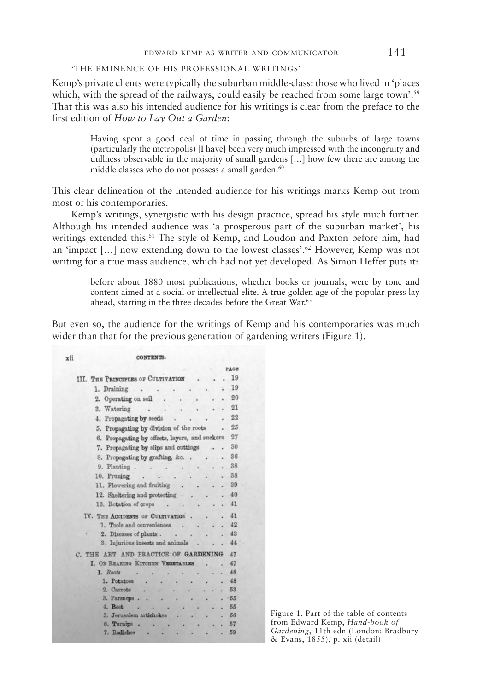## edward kemp as writer and communicator 141

# 'the eminence of his professional writings'

kemp's private clients were typically the suburban middle-class: those who lived in 'places which, with the spread of the railways, could easily be reached from some large town'.<sup>59</sup> That this was also his intended audience for his writings is clear from the preface to the frst edition of *How to Lay Out a Garden*:

> having spent a good deal of time in passing through the suburbs of large towns (particularly the metropolis) [i have] been very much impressed with the incongruity and dullness observable in the majority of small gardens […] how few there are among the middle classes who do not possess a small garden.<sup>60</sup>

This clear delineation of the intended audience for his writings marks Kemp out from most of his contemporaries.

kemp's writings, synergistic with his design practice, spread his style much further. although his intended audience was 'a prosperous part of the suburban market', his writings extended this.<sup>61</sup> The style of Kemp, and Loudon and Paxton before him, had an 'impact […] now extending down to the lowest classes'.62 however, kemp was not writing for a true mass audience, which had not yet developed. As Simon Heffer puts it:

> before about 1880 most publications, whether books or journals, were by tone and content aimed at a social or intellectual elite. A true golden age of the popular press lay ahead, starting in the three decades before the Great War.<sup>63</sup>

but even so, the audience for the writings of kemp and his contemporaries was much wider than that for the previous generation of gardening writers (Figure 1).

#### CONTENTS.

vii

|                                                        |        | PAGE  |
|--------------------------------------------------------|--------|-------|
| III. THE PRINCIPLES OF CULTIVATION                     |        | 19    |
| 1. Draining<br>$\cdot$ $\cdot$                         |        | 19    |
| 2. Operating on soil                                   |        | 20    |
| 3. Watering<br>$\cdot$ $\cdot$                         |        | 21    |
| 4. Propagating by seeds .<br>$\cdot$                   |        | 22    |
| 5. Propagating by division of the roots                |        | 25    |
| 6. Propagating by offsets, layers, and suckers         |        | 27    |
| 7. Propagating by slips and cuttings                   |        | 30    |
| 8. Propagating by grafting, &c                         |        | 36    |
| 9. Planting<br>$\sim$ $\sim$                           |        | 38    |
| 10. Pruning                                            |        | 38    |
| 11. Flowering and fruiting                             |        | 39    |
| 12. Sheltering and protecting .                        | $\sim$ | .40   |
| 13. Rotation of crops                                  |        | 41    |
|                                                        |        |       |
| IV. THE ACCIDENTS OF CULTIVATION                       |        | 41    |
| 1. Tools and conveniences                              |        | 42    |
| 2. Diseases of plants.<br>$\mathbf{a}$<br>٠            |        | .43   |
| 3. Injurious insects and animals                       |        | 44    |
| C. THE ART AND PRACTICE OF GARDENING                   |        | 47    |
| I. ON REARING KITCHEN VEGETABLES .                     |        | 47    |
| L. Roots                                               |        | 48    |
| $\dddot{\bullet}$<br>1. Potatoes<br>$\mathbf{z}^{(1)}$ |        | 48    |
| 2. Carrots                                             |        | 53    |
| 3. Parsneps.<br>œ                                      |        | $-55$ |
| <b>Service Service</b><br>4. Beet                      |        | $-55$ |
| 5. Jerusalem artichokes<br>$18 - 18$                   |        | 56    |
| 6. Turnips                                             |        | 57    |
| 7. Radishes<br>٠                                       |        | 59    |

figure 1. part of the table of contents from edward kemp, *Hand-book of Gardening*, 11th edn (london: bradbury & evans, 1855), p. xii (detail)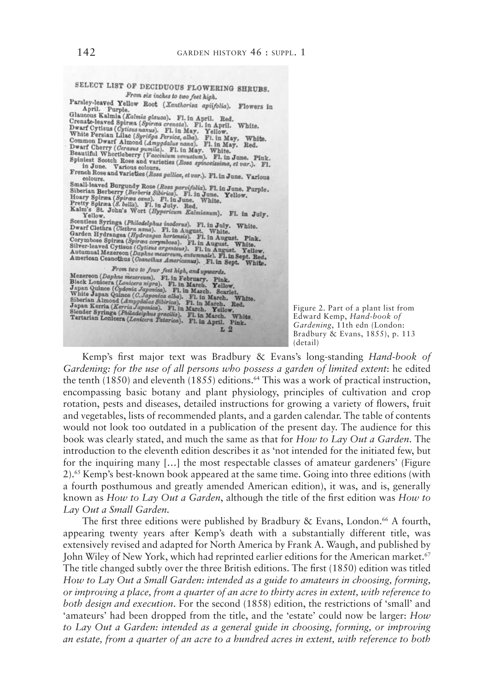

Kemp's first major text was Bradbury & Evans's long-standing *Hand-book of Gardening: for the use of all persons who possess a garden of limited extent*: he edited the tenth  $(1850)$  and eleventh  $(1855)$  editions.<sup>64</sup> This was a work of practical instruction, encompassing basic botany and plant physiology, principles of cultivation and crop rotation, pests and diseases, detailed instructions for growing a variety of fowers, fruit and vegetables, lists of recommended plants, and a garden calendar. the table of contents would not look too outdated in a publication of the present day. The audience for this book was clearly stated, and much the same as that for *How to Lay Out a Garden*. the introduction to the eleventh edition describes it as 'not intended for the initiated few, but for the inquiring many […] the most respectable classes of amateur gardeners' (figure 2).<sup>65</sup> Kemp's best-known book appeared at the same time. Going into three editions (with a fourth posthumous and greatly amended american edition), it was, and is, generally known as *How to Lay Out a Garden*, although the title of the frst edition was *How to Lay Out a Small Garden.*

The first three editions were published by Bradbury & Evans, London.<sup>66</sup> A fourth, appearing twenty years after kemp's death with a substantially different title, was extensively revised and adapted for North America by Frank A. Waugh, and published by John Wiley of New York, which had reprinted earlier editions for the American market.<sup>67</sup> The title changed subtly over the three British editions. The first (1850) edition was titled *How to Lay Out a Small Garden: intended as a guide to amateurs in choosing, forming, or improving a place, from a quarter of an acre to thirty acres in extent, with reference to both design and execution*. for the second (1858) edition, the restrictions of 'small' and 'amateurs' had been dropped from the title, and the 'estate' could now be larger: *How to Lay Out a Garden: intended as a general guide in choosing, forming, or improving an estate, from a quarter of an acre to a hundred acres in extent, with reference to both*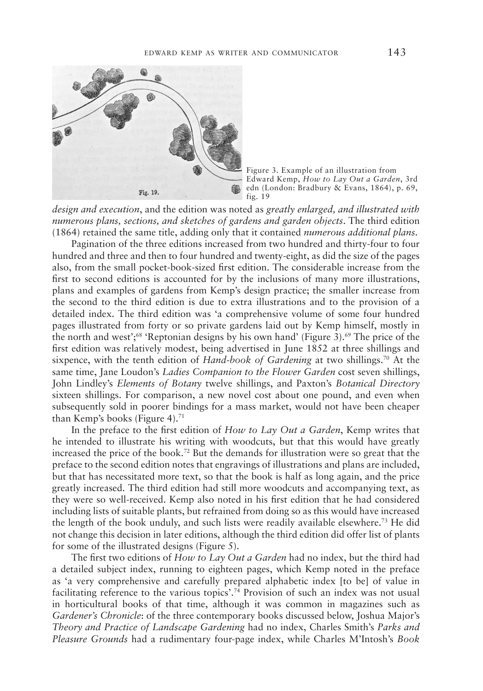

Figure 3. Example of an illustration from edward kemp, *How to Lay Out a Garden*, 3rd edn (London: Bradbury & Evans, 1864), p. 69, fig. 19

*design and execution*, and the edition was noted as *greatly enlarged, and illustrated with numerous plans, sections, and sketches of gardens and garden objects*. the third edition (1864) retained the same title, adding only that it contained *numerous additional plans*.

pagination of the three editions increased from two hundred and thirty-four to four hundred and three and then to four hundred and twenty-eight, as did the size of the pages also, from the small pocket-book-sized frst edition. the considerable increase from the frst to second editions is accounted for by the inclusions of many more illustrations, plans and examples of gardens from kemp's design practice; the smaller increase from the second to the third edition is due to extra illustrations and to the provision of a detailed index. the third edition was 'a comprehensive volume of some four hundred pages illustrated from forty or so private gardens laid out by kemp himself, mostly in the north and west';<sup>68</sup> 'Reptonian designs by his own hand' (Figure 3).<sup>69</sup> The price of the frst edition was relatively modest, being advertised in June 1852 at three shillings and sixpence, with the tenth edition of *Hand-book of Gardening* at two shillings.<sup>70</sup> At the same time, Jane loudon's *Ladies Companion to the Flower Garden* cost seven shillings, John lindley's *Elements of Botany* twelve shillings, and paxton's *Botanical Directory* sixteen shillings. for comparison, a new novel cost about one pound, and even when subsequently sold in poorer bindings for a mass market, would not have been cheaper than Kemp's books (Figure 4).<sup>71</sup>

in the preface to the frst edition of *How to Lay Out a Garden*, kemp writes that he intended to illustrate his writing with woodcuts, but that this would have greatly increased the price of the book.<sup>72</sup> But the demands for illustration were so great that the preface to the second edition notes that engravings of illustrations and plans are included, but that has necessitated more text, so that the book is half as long again, and the price greatly increased. the third edition had still more woodcuts and accompanying text, as they were so well-received. kemp also noted in his frst edition that he had considered including lists of suitable plants, but refrained from doing so as this would have increased the length of the book unduly, and such lists were readily available elsewhere.<sup>73</sup> He did not change this decision in later editions, although the third edition did offer list of plants for some of the illustrated designs (figure 5).

the frst two editions of *How to Lay Out a Garden* had no index, but the third had a detailed subject index, running to eighteen pages, which kemp noted in the preface as 'a very comprehensive and carefully prepared alphabetic index [to be] of value in facilitating reference to the various topics'.74 provision of such an index was not usual in horticultural books of that time, although it was common in magazines such as *Gardener's Chronicle*: of the three contemporary books discussed below, Joshua Major's *Theory and Practice of Landscape Gardening* had no index, charles smith's *Parks and Pleasure Grounds* had a rudimentary four-page index, while charles m'intosh's *Book*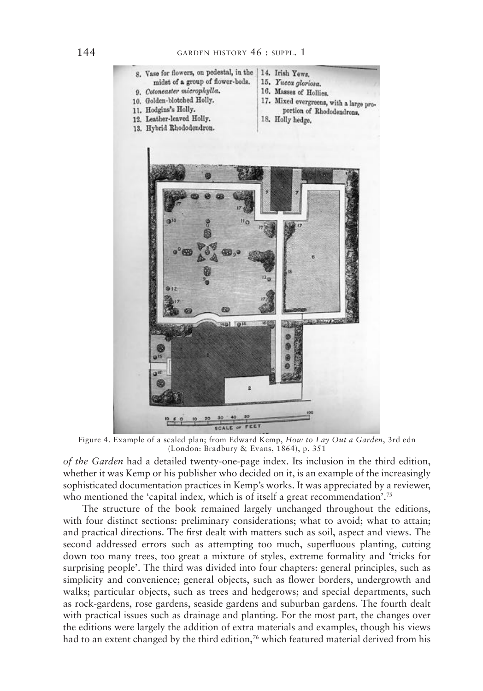

figure 4. example of a scaled plan; from edward kemp, *How to Lay Out a Garden*, 3rd edn (London: Bradbury & Evans, 1864), p. 351

*of the Garden* had a detailed twenty-one-page index. its inclusion in the third edition, whether it was Kemp or his publisher who decided on it, is an example of the increasingly sophisticated documentation practices in kemp's works. it was appreciated by a reviewer, who mentioned the 'capital index, which is of itself a great recommendation'.<sup>75</sup>

The structure of the book remained largely unchanged throughout the editions, with four distinct sections: preliminary considerations; what to avoid; what to attain; and practical directions. The first dealt with matters such as soil, aspect and views. The second addressed errors such as attempting too much, superfuous planting, cutting down too many trees, too great a mixture of styles, extreme formality and 'tricks for surprising people'. The third was divided into four chapters: general principles, such as simplicity and convenience; general objects, such as fower borders, undergrowth and walks; particular objects, such as trees and hedgerows; and special departments, such as rock-gardens, rose gardens, seaside gardens and suburban gardens. the fourth dealt with practical issues such as drainage and planting. for the most part, the changes over the editions were largely the addition of extra materials and examples, though his views had to an extent changed by the third edition,<sup>76</sup> which featured material derived from his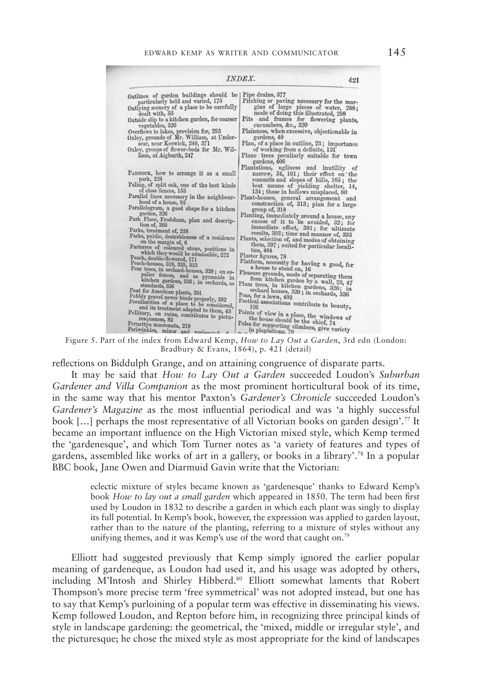|                                                                                                                                                                                                                                                                                                                                                                                                                                                                                                                                                                                                                                                                                                                                                                                                                                                                                                                                                            | INDEX.                                                                                                                                                                                                                                                                                                                                                                                                                                                                                                                                                                                                                                                                                                                                                                                                                                                                                                                                                                                                                     | 421 |
|------------------------------------------------------------------------------------------------------------------------------------------------------------------------------------------------------------------------------------------------------------------------------------------------------------------------------------------------------------------------------------------------------------------------------------------------------------------------------------------------------------------------------------------------------------------------------------------------------------------------------------------------------------------------------------------------------------------------------------------------------------------------------------------------------------------------------------------------------------------------------------------------------------------------------------------------------------|----------------------------------------------------------------------------------------------------------------------------------------------------------------------------------------------------------------------------------------------------------------------------------------------------------------------------------------------------------------------------------------------------------------------------------------------------------------------------------------------------------------------------------------------------------------------------------------------------------------------------------------------------------------------------------------------------------------------------------------------------------------------------------------------------------------------------------------------------------------------------------------------------------------------------------------------------------------------------------------------------------------------------|-----|
| Outlines of garden buildings should be<br>particularly bold and varied, 175<br>Outlying scenery of a place to be carefully<br>dealt with, 55<br>Outside slip to a kitchen garden, for coarser<br>vegetables, 326<br>Overflows to lakes, provision for, 293<br>Oxley, grounds of Mr. William, at Under-<br>scar, near Keswick, 240, 371<br>Oxley, groups of flower-beds for Mr. Wil-<br>liam, at Aigburth, 247                                                                                                                                                                                                                                                                                                                                                                                                                                                                                                                                              | Pipe drains, 377<br>Pitching or paving necessary for the mar-<br>gins of large pieces of water, 288;<br>mode of doing this illustrated, 298<br>Pits and frames for flowering plants,<br>cucumbers, &c., 320<br>Plainness, when excessive, objectionable in<br>gardens, 40<br>Plan, of a place in outline, 23; importance<br>of working from a definite, 131<br>Plane trees peculiarly suitable for town<br>gardens, 406                                                                                                                                                                                                                                                                                                                                                                                                                                                                                                                                                                                                    |     |
| PADDOCK, how to arrange it as a small<br>park, 228<br>Paling, of split oak, one of the best kinds<br>of close fences, 153<br>Parallel lines necessary in the neighbour-<br>hood of a house, 92<br>Parallelogram, a good shape for a kitchen<br>garden, 326<br>Park Place, Frodsham, plan and descrip-<br>tion of, 360<br>Parks, treatment of, 228<br>Parks, public, desirableness of a residence<br>on the margin of, 6<br>Parterres of coloured stone, positions in<br>which they would be admissible, 272<br>Peach, double-flowered, 171<br>Peach-houses, 319, 320, 323<br>Pear trees, in orchard-houses, 320; on es-<br>palier fences, and as pyramids in<br>kitchen gardens, 326; in orchards, as<br>standards, 336<br>Peat for American plants, 391<br>Pebbly gravel never binds properly, 382<br>Peculiarities of a place to be considered,<br>and its treatment adapted to them, 43<br>Pellitory, on ruins, contributes to pictu-<br>resqueness, 82 | Plantations, ugliness and inutility of<br>narrow, 34, 161; their effect on the<br>summits and slopes of hills, 165; the<br>best means of yielding shelter, 14,<br>134; those in hollows misplaced, 80<br>Plant-houses, general arrangement and<br>construction of, 313; plan for a large<br>group of, 318<br>Planting, immediately around a house, any<br>excess of it to be avoided, 32; for<br>immediate effect, 391; for ultimate<br>results, 393; time and manner of, 393<br>Plants, selection of, and modes of obtaining<br>them, 397; suited for particular locali-<br>ties, 404<br>Plaster figures, 78<br>Platform, necessity for having a good, for<br>a house to stand on, 16<br>Pleasure grounds, mode of separating them<br>from kitchen garden by a wall, 23, 47<br>Plum trees, in kitchen gardens, 326; in<br>orchard houses, 320; in orchards, 336<br>Poas, for a lawn, 402<br>Poetical associations contribute to beauty,<br>Points of view in a place, the windows of<br>the house should be the chief, 74 |     |

figure 5. part of the index from edward kemp, *How to Lay Out a Garden*, 3rd edn (london: Bradbury & Evans,  $1864$ ), p. 421 (detail)

refections on biddulph grange, and on attaining congruence of disparate parts.

it may be said that *How to Lay Out a Garden* succeeded loudon's *Suburban Gardener and Villa Companion* as the most prominent horticultural book of its time, in the same way that his mentor paxton's *Gardener's Chronicle* succeeded loudon's *Gardener's Magazine* as the most infuential periodical and was 'a highly successful book […] perhaps the most representative of all Victorian books on garden design'.77 it became an important infuence on the high Victorian mixed style, which kemp termed the 'gardenesque', and which tom turner notes as 'a variety of features and types of gardens, assembled like works of art in a gallery, or books in a library'.78 in a popular BBC book, Jane Owen and Diarmuid Gavin write that the Victorian:

> eclectic mixture of styles became known as 'gardenesque' thanks to Edward Kemp's book *How to lay out a small garden* which appeared in 1850. The term had been first used by loudon in 1832 to describe a garden in which each plant was singly to display its full potential. in kemp's book, however, the expression was applied to garden layout, rather than to the nature of the planting, referring to a mixture of styles without any unifying themes, and it was Kemp's use of the word that caught on.<sup>79</sup>

elliott had suggested previously that kemp simply ignored the earlier popular meaning of gardeneque, as loudon had used it, and his usage was adopted by others, including M'Intosh and Shirley Hibberd.<sup>80</sup> Elliott somewhat laments that Robert Thompson's more precise term 'free symmetrical' was not adopted instead, but one has to say that kemp's purloining of a popular term was effective in disseminating his views. Kemp followed Loudon, and Repton before him, in recognizing three principal kinds of style in landscape gardening: the geometrical, the 'mixed, middle or irregular style', and the picturesque; he chose the mixed style as most appropriate for the kind of landscapes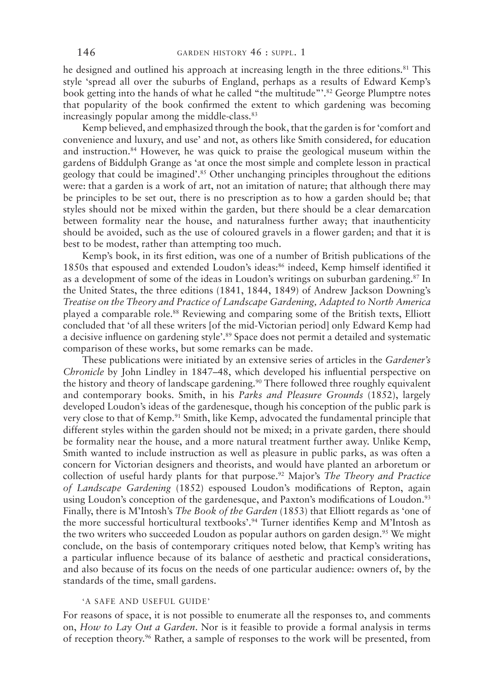he designed and outlined his approach at increasing length in the three editions.<sup>81</sup> This style 'spread all over the suburbs of England, perhaps as a results of Edward Kemp's book getting into the hands of what he called "the multitude"'.<sup>82</sup> George Plumptre notes that popularity of the book confrmed the extent to which gardening was becoming increasingly popular among the middle-class.<sup>83</sup>

kemp believed, and emphasized through the book, that the garden is for 'comfort and convenience and luxury, and use' and not, as others like smith considered, for education and instruction.84 however, he was quick to praise the geological museum within the gardens of biddulph grange as 'at once the most simple and complete lesson in practical geology that could be imagined'.85 other unchanging principles throughout the editions were: that a garden is a work of art, not an imitation of nature; that although there may be principles to be set out, there is no prescription as to how a garden should be; that styles should not be mixed within the garden, but there should be a clear demarcation between formality near the house, and naturalness further away; that inauthenticity should be avoided, such as the use of coloured gravels in a fower garden; and that it is best to be modest, rather than attempting too much.

kemp's book, in its frst edition, was one of a number of british publications of the 1850s that espoused and extended loudon's ideas:86 indeed, kemp himself identifed it as a development of some of the ideas in Loudon's writings on suburban gardening.<sup>87</sup> In the United States, the three editions (1841, 1844, 1849) of Andrew Jackson Downing's *Treatise on the Theory and Practice of Landscape Gardening, Adapted to North America* played a comparable role.<sup>88</sup> Reviewing and comparing some of the British texts, Elliott concluded that 'of all these writers [of the mid-Victorian period] only edward kemp had a decisive influence on gardening style<sup>',89</sup> Space does not permit a detailed and systematic comparison of these works, but some remarks can be made.

these publications were initiated by an extensive series of articles in the *Gardener's Chronicle* by John Lindley in 1847–48, which developed his influential perspective on the history and theory of landscape gardening.<sup>90</sup> There followed three roughly equivalent and contemporary books. smith, in his *Parks and Pleasure Grounds* (1852), largely developed loudon's ideas of the gardenesque, though his conception of the public park is very close to that of kemp.91 smith, like kemp, advocated the fundamental principle that different styles within the garden should not be mixed; in a private garden, there should be formality near the house, and a more natural treatment further away. Unlike Kemp, smith wanted to include instruction as well as pleasure in public parks, as was often a concern for Victorian designers and theorists, and would have planted an arboretum or collection of useful hardy plants for that purpose.92 major's *The Theory and Practice of Landscape Gardening* (1852) espoused Loudon's modifications of Repton, again using Loudon's conception of the gardenesque, and Paxton's modifications of Loudon.<sup>93</sup> Finally, there is M'Intosh's *The Book of the Garden* (1853) that Elliott regards as 'one of the more successful horticultural textbooks'.<sup>94</sup> Turner identifies Kemp and M'Intosh as the two writers who succeeded Loudon as popular authors on garden design.<sup>95</sup> We might conclude, on the basis of contemporary critiques noted below, that kemp's writing has a particular infuence because of its balance of aesthetic and practical considerations, and also because of its focus on the needs of one particular audience: owners of, by the standards of the time, small gardens.

# 'a safe and useful guide'

for reasons of space, it is not possible to enumerate all the responses to, and comments on, *How to Lay Out a Garden*. Nor is it feasible to provide a formal analysis in terms of reception theory.<sup>96</sup> Rather, a sample of responses to the work will be presented, from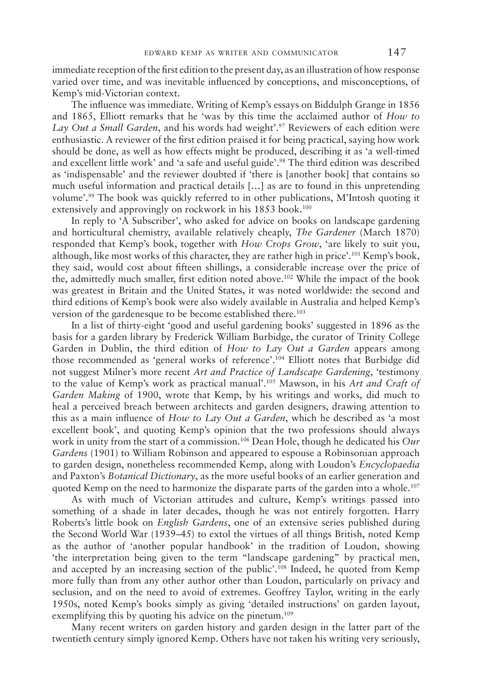immediate reception of the frst edition to the present day, as an illustration of how response varied over time, and was inevitable infuenced by conceptions, and misconceptions, of kemp's mid-Victorian context.

The influence was immediate. Writing of Kemp's essays on Biddulph Grange in 1856 and 1865, elliott remarks that he 'was by this time the acclaimed author of *How to Lay Out a Small Garden*, and his words had weight'.<sup>97</sup> Reviewers of each edition were enthusiastic. a reviewer of the frst edition praised it for being practical, saying how work should be done, as well as how effects might be produced, describing it as 'a well-timed and excellent little work' and 'a safe and useful guide'.<sup>98</sup> The third edition was described as 'indispensable' and the reviewer doubted if 'there is [another book] that contains so much useful information and practical details […] as are to found in this unpretending volume'.<sup>99</sup> The book was quickly referred to in other publications, M'Intosh quoting it extensively and approvingly on rockwork in his 1853 book.<sup>100</sup>

In reply to 'A Subscriber', who asked for advice on books on landscape gardening and horticultural chemistry, available relatively cheaply, *The Gardener* (march 1870) responded that kemp's book, together with *How Crops Grow*, 'are likely to suit you, although, like most works of this character, they are rather high in price'.101 kemp's book, they said, would cost about ffteen shillings, a considerable increase over the price of the, admittedly much smaller, frst edition noted above.102 while the impact of the book was greatest in Britain and the United States, it was noted worldwide: the second and third editions of kemp's book were also widely available in australia and helped kemp's version of the gardenesque to be become established there.<sup>103</sup>

In a list of thirty-eight 'good and useful gardening books' suggested in 1896 as the basis for a garden library by frederick william burbidge, the curator of trinity college Garden in Dublin, the third edition of *How to Lay Out a Garden* appears among those recommended as 'general works of reference'.104 elliott notes that burbidge did not suggest milner's more recent *Art and Practice of Landscape Gardening*, 'testimony to the value of kemp's work as practical manual'.105 mawson, in his *Art and Craft of Garden Making* of 1900, wrote that kemp, by his writings and works, did much to heal a perceived breach between architects and garden designers, drawing attention to this as a main infuence of *How to Lay Out a Garden*, which he described as 'a most excellent book', and quoting kemp's opinion that the two professions should always work in unity from the start of a commission.<sup>106</sup> Dean Hole, though he dedicated his *Our Gardens* (1901) to William Robinson and appeared to espouse a Robinsonian approach to garden design, nonetheless recommended kemp, along with loudon's *Encyclopaedia* and paxton's *Botanical Dictionary*, as the more useful books of an earlier generation and quoted Kemp on the need to harmonize the disparate parts of the garden into a whole.<sup>107</sup>

as with much of Victorian attitudes and culture, kemp's writings passed into something of a shade in later decades, though he was not entirely forgotten. Harry Roberts's little book on *English Gardens*, one of an extensive series published during the second world war (1939–45) to extol the virtues of all things british, noted kemp as the author of 'another popular handbook' in the tradition of loudon, showing 'the interpretation being given to the term "landscape gardening" by practical men, and accepted by an increasing section of the public'.108 indeed, he quoted from kemp more fully than from any other author other than loudon, particularly on privacy and seclusion, and on the need to avoid of extremes. Geoffrey Taylor, writing in the early 1950s, noted kemp's books simply as giving 'detailed instructions' on garden layout, exemplifying this by quoting his advice on the pinetum.<sup>109</sup>

many recent writers on garden history and garden design in the latter part of the twentieth century simply ignored Kemp. Others have not taken his writing very seriously,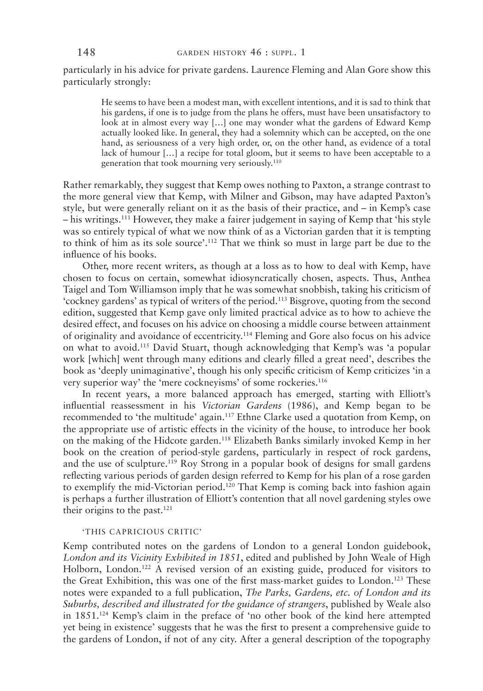particularly in his advice for private gardens. Laurence Fleming and Alan Gore show this particularly strongly:

> he seems to have been a modest man, with excellent intentions, and it is sad to think that his gardens, if one is to judge from the plans he offers, must have been unsatisfactory to look at in almost every way [...] one may wonder what the gardens of Edward Kemp actually looked like. in general, they had a solemnity which can be accepted, on the one hand, as seriousness of a very high order, or, on the other hand, as evidence of a total lack of humour […] a recipe for total gloom, but it seems to have been acceptable to a generation that took mourning very seriously.110

Rather remarkably, they suggest that Kemp owes nothing to Paxton, a strange contrast to the more general view that kemp, with milner and gibson, may have adapted paxton's style, but were generally reliant on it as the basis of their practice, and – in kemp's case – his writings.111 however, they make a fairer judgement in saying of kemp that 'his style was so entirely typical of what we now think of as a Victorian garden that it is tempting to think of him as its sole source'.<sup>112</sup> That we think so must in large part be due to the infuence of his books.

other, more recent writers, as though at a loss as to how to deal with kemp, have chosen to focus on certain, somewhat idiosyncratically chosen, aspects. Thus, Anthea Taigel and Tom Williamson imply that he was somewhat snobbish, taking his criticism of 'cockney gardens' as typical of writers of the period.113 bisgrove, quoting from the second edition, suggested that kemp gave only limited practical advice as to how to achieve the desired effect, and focuses on his advice on choosing a middle course between attainment of originality and avoidance of eccentricity.114 fleming and gore also focus on his advice on what to avoid.<sup>115</sup> David Stuart, though acknowledging that Kemp's was 'a popular work [which] went through many editions and clearly flled a great need', describes the book as 'deeply unimaginative', though his only specifc criticism of kemp criticizes 'in a very superior way' the 'mere cockneyisms' of some rockeries.116

In recent years, a more balanced approach has emerged, starting with Elliott's infuential reassessment in his *Victorian Gardens* (1986), and kemp began to be recommended to 'the multitude' again.<sup>117</sup> Ethne Clarke used a quotation from Kemp, on the appropriate use of artistic effects in the vicinity of the house, to introduce her book on the making of the hidcote garden.118 elizabeth banks similarly invoked kemp in her book on the creation of period-style gardens, particularly in respect of rock gardens, and the use of sculpture.<sup>119</sup> Roy Strong in a popular book of designs for small gardens refecting various periods of garden design referred to kemp for his plan of a rose garden to exemplify the mid-Victorian period.<sup>120</sup> That Kemp is coming back into fashion again is perhaps a further illustration of Elliott's contention that all novel gardening styles owe their origins to the past. $121$ 

# 'THIS CAPRICIOUS CRITIC'

kemp contributed notes on the gardens of london to a general london guidebook, *London and its Vicinity Exhibited in 1851*, edited and published by John weale of high Holborn, London.<sup>122</sup> A revised version of an existing guide, produced for visitors to the Great Exhibition, this was one of the first mass-market guides to London.<sup>123</sup> These notes were expanded to a full publication, *The Parks, Gardens, etc. of London and its Suburbs, described and illustrated for the guidance of strangers*, published by weale also in 1851.124 kemp's claim in the preface of 'no other book of the kind here attempted yet being in existence' suggests that he was the frst to present a comprehensive guide to the gardens of london, if not of any city. after a general description of the topography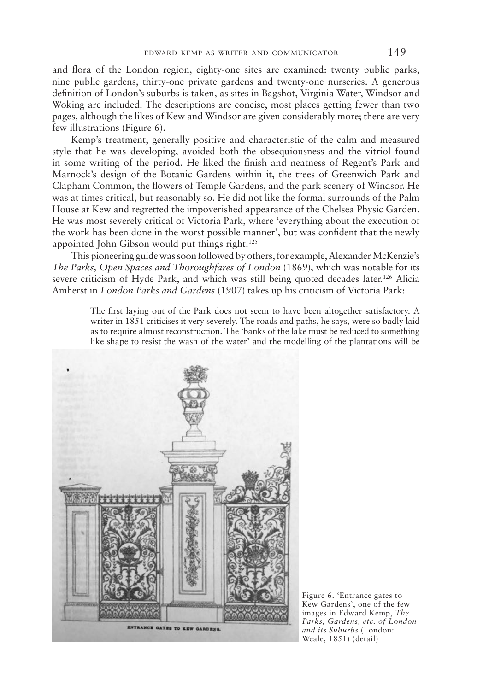and fora of the london region, eighty-one sites are examined: twenty public parks, nine public gardens, thirty-one private gardens and twenty-one nurseries. a generous defnition of london's suburbs is taken, as sites in bagshot, Virginia water, windsor and Woking are included. The descriptions are concise, most places getting fewer than two pages, although the likes of kew and windsor are given considerably more; there are very few illustrations (figure 6).

kemp's treatment, generally positive and characteristic of the calm and measured style that he was developing, avoided both the obsequiousness and the vitriol found in some writing of the period. He liked the finish and neatness of Regent's Park and Marnock's design of the Botanic Gardens within it, the trees of Greenwich Park and clapham common, the fowers of temple gardens, and the park scenery of windsor. he was at times critical, but reasonably so. he did not like the formal surrounds of the palm house at kew and regretted the impoverished appearance of the chelsea physic garden. he was most severely critical of Victoria park, where 'everything about the execution of the work has been done in the worst possible manner', but was confdent that the newly appointed John Gibson would put things right.<sup>125</sup>

this pioneering guide was soon followed by others, for example, alexander mckenzie's *The Parks, Open Spaces and Thoroughfares of London* (1869), which was notable for its severe criticism of Hyde Park, and which was still being quoted decades later.<sup>126</sup> Alicia Amherst in *London Parks and Gardens* (1907) takes up his criticism of Victoria Park:

> The first laying out of the Park does not seem to have been altogether satisfactory. A writer in 1851 criticises it very severely. The roads and paths, he says, were so badly laid as to require almost reconstruction. The 'banks of the lake must be reduced to something like shape to resist the wash of the water' and the modelling of the plantations will be



Figure 6. 'Entrance gates to kew gardens', one of the few images in Edward Kemp, The *Parks, Gardens, etc. of London and its Suburbs* (london: weale, 1851) (detail)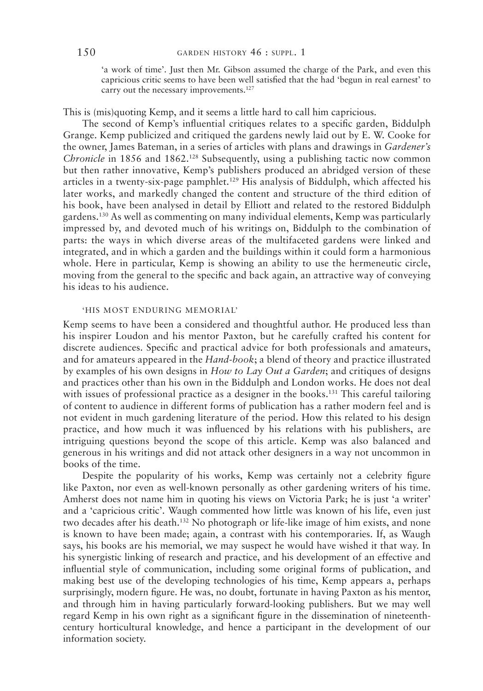'a work of time'. Just then Mr. Gibson assumed the charge of the Park, and even this capricious critic seems to have been well satisfed that the had 'begun in real earnest' to carry out the necessary improvements.<sup>127</sup>

This is (mis)quoting Kemp, and it seems a little hard to call him capricious.

The second of Kemp's influential critiques relates to a specific garden, Biddulph Grange. Kemp publicized and critiqued the gardens newly laid out by E. W. Cooke for the owner, James bateman, in a series of articles with plans and drawings in *Gardener's Chronicle* in 1856 and 1862.<sup>128</sup> Subsequently, using a publishing tactic now common but then rather innovative, kemp's publishers produced an abridged version of these articles in a twenty-six-page pamphlet.<sup>129</sup> His analysis of Biddulph, which affected his later works, and markedly changed the content and structure of the third edition of his book, have been analysed in detail by elliott and related to the restored biddulph gardens.<sup>130</sup> As well as commenting on many individual elements, Kemp was particularly impressed by, and devoted much of his writings on, biddulph to the combination of parts: the ways in which diverse areas of the multifaceted gardens were linked and integrated, and in which a garden and the buildings within it could form a harmonious whole. here in particular, kemp is showing an ability to use the hermeneutic circle, moving from the general to the specifc and back again, an attractive way of conveying his ideas to his audience.

# 'his most enduring memorial'

Kemp seems to have been a considered and thoughtful author. He produced less than his inspirer loudon and his mentor paxton, but he carefully crafted his content for discrete audiences. specifc and practical advice for both professionals and amateurs, and for amateurs appeared in the *Hand-book*; a blend of theory and practice illustrated by examples of his own designs in *How to Lay Out a Garden*; and critiques of designs and practices other than his own in the biddulph and london works. he does not deal with issues of professional practice as a designer in the books.<sup>131</sup> This careful tailoring of content to audience in different forms of publication has a rather modern feel and is not evident in much gardening literature of the period. how this related to his design practice, and how much it was infuenced by his relations with his publishers, are intriguing questions beyond the scope of this article. kemp was also balanced and generous in his writings and did not attack other designers in a way not uncommon in books of the time.

Despite the popularity of his works, Kemp was certainly not a celebrity figure like paxton, nor even as well-known personally as other gardening writers of his time. Amherst does not name him in quoting his views on Victoria Park; he is just 'a writer' and a 'capricious critic'. waugh commented how little was known of his life, even just two decades after his death.<sup>132</sup> No photograph or life-like image of him exists, and none is known to have been made; again, a contrast with his contemporaries. if, as waugh says, his books are his memorial, we may suspect he would have wished it that way. in his synergistic linking of research and practice, and his development of an effective and infuential style of communication, including some original forms of publication, and making best use of the developing technologies of his time, kemp appears a, perhaps surprisingly, modern figure. He was, no doubt, fortunate in having Paxton as his mentor, and through him in having particularly forward-looking publishers. but we may well regard kemp in his own right as a signifcant fgure in the dissemination of nineteenthcentury horticultural knowledge, and hence a participant in the development of our information society.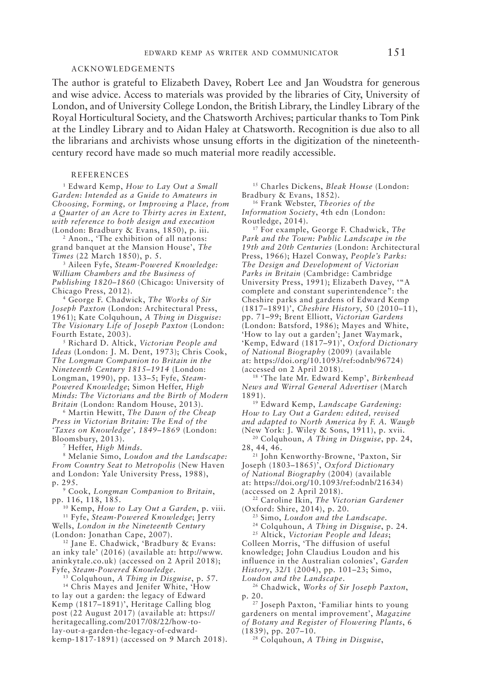#### acknowledgements

The author is grateful to Elizabeth Davey, Robert Lee and Jan Woudstra for generous and wise advice. Access to materials was provided by the libraries of City, University of London, and of University College London, the British Library, the Lindley Library of the Royal Horticultural Society, and the Chatsworth Archives; particular thanks to Tom Pink at the Lindley Library and to Aidan Haley at Chatsworth. Recognition is due also to all the librarians and archivists whose unsung efforts in the digitization of the nineteenthcentury record have made so much material more readily accessible.

#### **REFERENCES**

<sup>1</sup> Edward Kemp, *How to Lay Out a Small Garden: Intended as a Guide to Amateurs in Choosing, Forming, or Improving a Place, from a Quarter of an Acre to Thirty acres in Extent, with reference to both design and execution* (London: Bradbury & Evans, 1850), p. iii.

<sup>2</sup> Anon., 'The exhibition of all nations: grand banquet at the mansion house', *The Times* (22 march 1850), p. 5.

<sup>3</sup> aileen fyfe, *Steam-Powered Knowledge: William Chambers and the Business of*  Publishing 1820-1860 (Chicago: University of chicago press, 2012).

<sup>4</sup> george f. chadwick, *The Works of Sir Joseph Paxton* (London: Architectural Press, 1961); kate colquhoun, *A Thing in Disguise: The Visionary Life of Joseph Paxton* (london: Fourth Estate, 2003).

<sup>5</sup> Richard D. Altick, *Victorian People and Ideas* (London: J. M. Dent, 1973); Chris Cook, *The Longman Companion to Britain in the Nineteenth Century 1815–1914* (london: longman, 1990), pp. 133–5; fyfe, *Steam-Powered Knowledge*; simon heffer, *High Minds: The Victorians and the Birth of Modern*  Britain (London: Random House, 2013).

<sup>6</sup> martin hewitt, *The Dawn of the Cheap Press in Victorian Britain: The End of the 'Taxes on Knowledge', 1849–1869* (london: bloomsbury, 2013).

<sup>7</sup> heffer, *High Minds.*

<sup>8</sup> melanie simo, *Loudon and the Landscape:*  From Country Seat to Metropolis (New Haven and London: Yale University Press, 1988), p. 295.

<sup>9</sup> cook, *Longman Companion to Britain*,

<sup>10</sup> Kemp, *How to Lay Out a Garden*, p. viii. <sup>11</sup> fyfe, *Steam-Powered Knowledge*; Jerry wells, *London in the Nineteenth Century*

(london: Jonathan cape, 2007). <sup>12</sup> Jane E. Chadwick, 'Bradbury & Evans: an inky tale' (2016) (available at: http://www. aninkytale.co.uk) (accessed on 2 April 2018); fyfe, *Steam-Powered Knowledge*.

<sup>13</sup> colquhoun, *A Thing in Disguise*, p. 57.

<sup>14</sup> Chris Mayes and Jenifer White, 'How to lay out a garden: the legacy of Edward kemp (1817–1891)', heritage calling blog post (22 august 2017) (available at: https:// heritagecalling.com/2017/08/22/how-tolay-out-a-garden-the-legacy-of-edwardkemp-1817-1891) (accessed on 9 march 2018). <sup>15</sup> Charles Dickens, *Bleak House* (London:

bradbury & evans, 1852). 16 frank webster, *Theories of the Information Society*, 4th edn (london: Routledge, 2014).

<sup>17</sup> for example, george f. chadwick, *The Park and the Town: Public Landscape in the*  19th and 20th Centuries (London: Architectural press, 1966); hazel conway, *People's Parks: The Design and Development of Victorian Parks in Britain* (cambridge: cambridge University Press, 1991); Elizabeth Davey, "A complete and constant superintendence": the Cheshire parks and gardens of Edward Kemp (1817–1891)', *Cheshire History*, 50 (2010–11), pp. 71–99; brent elliott, *Victorian Gardens* (london: batsford, 1986); mayes and white, 'how to lay out a garden'; Janet waymark, 'kemp, edward (1817–91)', *Oxford Dictionary of National Biography* (2009) (available at: https://doi.org/10.1093/ref:odnb/96724) (accessed on 2 April 2018).

<sup>18</sup> 'The late Mr. Edward Kemp', *Birkenhead News and Wirral General Advertiser* (march 1891).

<sup>19</sup> Edward Kemp, *Landscape Gardening*: *How to Lay Out a Garden: edited, revised and adapted to North America by F. A. Waugh* (new York: J. wiley & sons, 1911), p. xvii. 20 colquhoun, *A Thing in Disguise*, pp. 24,

28, 44, 46.

21 John kenworthy-browne, 'paxton, sir Joseph (1803–1865)', *Oxford Dictionary of National Biography* (2004) (available at: https://doi.org/10.1093/ref:odnb/21634) (accessed on 2 april 2018).

<sup>22</sup> caroline ikin, *The Victorian Gardener* (oxford: shire, 2014), p. 20.

<sup>23</sup> simo, *Loudon and the Landscape.*

<sup>24</sup> colquhoun, *A Thing in Disguise*, p. 24.

<sup>25</sup> altick, *Victorian People and Ideas*; Colleen Morris, 'The diffusion of useful knowledge; John claudius loudon and his influence in the Australian colonies', Garden *History*, 32/1 (2004), pp. 101–23; simo, *Loudon and the Landscape*.

<sup>26</sup> chadwick, *Works of Sir Joseph Paxton*, p. 20.

27 Joseph paxton, 'familiar hints to young gardeners on mental improvement', *Magazine of Botany and Register of Flowering Plants*, 6 (1839), pp. 207–10.

<sup>28</sup> colquhoun, *A Thing in Disguise*,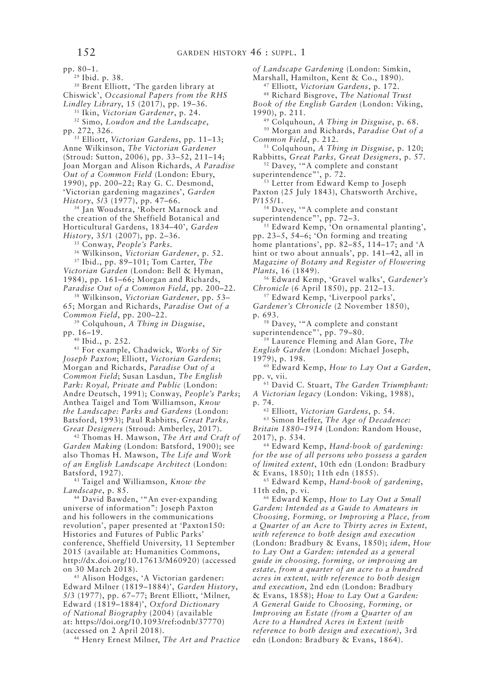pp. 80–1.

<sup>29</sup> Ibid. p. 38.

<sup>30</sup> Brent Elliott, 'The garden library at chiswick', *Occasional Papers from the RHS Lindley Librar*y, 15 (2017), pp. 19–36*.*

<sup>31</sup> Ikin, *Victorian Gardener*, p. 24.

<sup>32</sup> simo, *Loudon and the Landscape*, pp. 272, 326.

<sup>33</sup> elliott, *Victorian Gardens*, pp. 11–13; anne wilkinson, *The Victorian Gardener* (stroud: sutton, 2006), pp. 33–52, 211–14; Joan Morgan and Alison Richards, *A Paradise* Out of a Common Field (London: Ebury, 1990), pp. 200-22; Ray G. C. Desmond, 'Victorian gardening magazines', *Garden History*, 5/3 (1977), pp. 47–66.

<sup>34</sup> Jan Woudstra, 'Robert Marnock and the creation of the sheffield botanical and horticultural gardens, 1834–40', *Garden History*, 35/1 (2007), pp. 2–36.

<sup>35</sup> conway, *People's Parks.*

<sup>36</sup> wilkinson, *Victorian Gardener*, p. 52.

<sup>37</sup> ibid., pp. 89–101; tom carter, *The Victorian Garden* (london: bell & hyman, 1984), pp. 161-66; Morgan and Richards, *Paradise Out of a Common Field*, pp. 200–22.

<sup>38</sup> wilkinson, *Victorian Gardener*, pp. 53– 65; Morgan and Richards, *Paradise Out of a Common Field*, pp. 200–22.

<sup>39</sup> colquhoun, *A Thing in Disguise*, pp. 16–19.

<sup>40</sup> ibid., p. 252.

<sup>41</sup> for example, chadwick, *Works of Sir Joseph Paxton*; elliott, *Victorian Gardens*; Morgan and Richards, *Paradise Out of a Common Field*; susan lasdun, *The English*  Park: Royal, Private and Public (London: Andre Deutsch, 1991); Conway, *People's Parks*; Anthea Taigel and Tom Williamson, *Know the Landscape: Parks and Gardens* (london: Batsford, 1993); Paul Rabbitts, *Great Parks*, Great Designers (Stroud: Amberley, 2017).

<sup>42</sup> Thomas H. Mawson, *The Art and Craft of* Garden Making (London: Batsford, 1900); see also Thomas H. Mawson, *The Life and Work of an English Landscape Architect* (london: batsford, 1927).

<sup>43</sup> Taigel and Williamson, *Know the Landscape*, p. 85.

<sup>44</sup> David Bawden, "An ever-expanding universe of information": Joseph paxton and his followers in the communications revolution', paper presented at 'paxton150: histories and futures of public parks' conference, Sheffield University, 11 September 2015 (available at: humanities commons, http://dx.doi.org/10.17613/m60920) (accessed on 30 march 2018).

<sup>45</sup> Alison Hodges, 'A Victorian gardener: edward milner (1819–1884)', *Garden History*, 5/3 (1977), pp. 67–77; brent elliott, 'milner, edward (1819–1884)', *Oxford Dictionary of National Biography* (2004) (available at: https://doi.org/10.1093/ref:odnb/37770) (accessed on 2 april 2018).

<sup>46</sup> henry ernest milner, *The Art and Practice* 

*of Landscape Gardening* (london: simkin,

Marshall, Hamilton, Kent & Co., 1890).

<sup>47</sup> elliott, *Victorian Gardens*, p. 172.

<sup>48</sup> richard bisgrove, *The National Trust Book of the English Garden* (london: Viking, 1990), p. 211.

<sup>49</sup> colquhoun, *A Thing in Disguise*, p. 68.

<sup>50</sup> Morgan and Richards, *Paradise Out of a Common Field*, p. 212.

<sup>51</sup> colquhoun, *A Thing in Disguise*, p. 120; rabbitts, *Great Parks, Great Designers*, p. 57.

<sup>52</sup> Davey, "A complete and constant superintendence"', p. 72.

<sup>53</sup> Letter from Edward Kemp to Joseph Paxton (25 July 1843), Chatsworth Archive,

p/155/1.

<sup>54</sup> Davey, "A complete and constant superintendence"', pp. 72–3.

55 Edward Kemp, 'On ornamental planting', pp. 23–5, 54–6; 'on forming and treating home plantations', pp. 82-85, 114-17; and 'A hint or two about annuals', pp. 141–42, all in *Magazine of Botany and Register of Flowering Plants*, 16 (1849).

<sup>56</sup> edward kemp, 'gravel walks', *Gardener's* 

<sup>57</sup> Edward Kemp, 'Liverpool parks', *Gardener's Chronicle* (2 november 1850),

<sup>58</sup> Davey, "A complete and constant superintendence"', pp. 79-80.

<sup>59</sup> laurence fleming and alan gore, *The English Garden* (london: michael Joseph,

1979), p. 198. <sup>60</sup> edward kemp, *How to Lay Out a Garden*, pp. v, vii.

<sup>61</sup> David C. Stuart, *The Garden Triumphant*: *A Victorian legacy* (london: Viking, 1988),

p. 74.

<sup>62</sup> elliott, *Victorian Gardens*, p. 54.

<sup>63</sup> simon heffer, *The Age of Decadence:*  Britain 1880-1914 (London: Random House, 2017), p. 534.

<sup>64</sup> edward kemp, *Hand-book of gardening: for the use of all persons who possess a garden of limited extent*, 10th edn (london: bradbury & evans, 1850); 11th edn (1855).

<sup>65</sup> edward kemp, *Hand-book of gardening*, 11th edn, p. vi.

<sup>66</sup> edward kemp, *How to Lay Out a Small Garden: Intended as a Guide to Amateurs in Choosing, Forming, or Improving a Place, from a Quarter of an Acre to Thirty acres in Extent, with reference to both design and execution* (london: bradbury & evans, 1850); *idem*, *How to Lay Out a Garden: intended as a general guide in choosing, forming, or improving an estate, from a quarter of an acre to a hundred acres in extent, with reference to both design*  and execution, 2nd edn (London: Bradbury & Evans, 1858); *How to Lay Out a Garden: A General Guide to Choosing, Forming, or Improving an Estate (from a Quarter of an Acre to a Hundred Acres in Extent (with reference to both design and execution)*, 3rd edn (London: Bradbury & Evans, 1864).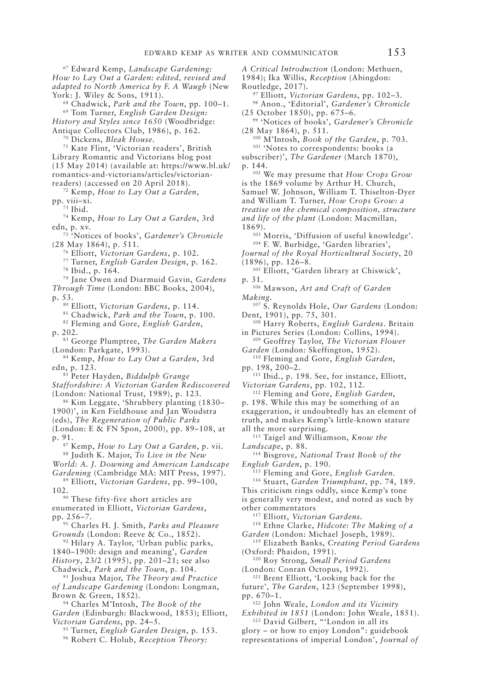<sup>68</sup> chadwick, *Park and the Town*, pp. 100–1. <sup>69</sup> tom turner, *English Garden Design: History and Styles since 1650* (woodbridge: Antique Collectors Club, 1986), p. 162.

<sup>70</sup> Dickens, *Bleak House*.<br><sup>71</sup> Kate Flint, 'Victorian readers', British Library Romantic and Victorians blog post (15 may 2014) (available at: https://www.bl.uk/ romantics-and-victorians/articles/victorianreaders) (accessed on 20 April 2018).

<sup>72</sup> kemp, *How to Lay Out a Garden*, pp. viii–xi.

<sup>73</sup> Ibid.

<sup>74</sup> kemp, *How to Lay Out a Garden*, 3rd edn, p. xv.

75 'notices of books', *Gardener's Chronicle* (28 may 1864), p. 511.

<sup>76</sup> elliott, *Victorian Gardens*, p. 102.

<sup>77</sup> turner, *English Garden Design*, p. 162. <sup>78</sup> ibid., p. 164.

<sup>79</sup> Jane Owen and Diarmuid Gavin, *Gardens Through Time* (london: bbc books, 2004), p. 53.

<sup>80</sup> elliott, *Victorian Gardens*, p. 114.

<sup>81</sup> chadwick, *Park and the Town*, p. 100.

<sup>82</sup> fleming and gore, *English Garden*, p. 202.

<sup>83</sup> george plumptree, *The Garden Makers*

(london: parkgate, 1993). 84 kemp, *How to Lay Out a Garden*, 3rd edn, p. 123.

<sup>85</sup> peter hayden, *Biddulph Grange Staffordshire: A Victorian Garden Rediscovered* (London: National Trust, 1989), p. 123.

<sup>86</sup> kim leggate, 'shrubbery planting (1830– 1900)', in ken fieldhouse and Jan woudstra (eds), *The Regeneration of Public Parks* 

(london: e & fn spon, 2000), pp. 89–108, at p. 91.

<sup>87</sup> kemp, *How to Lay Out a Garden*, p. vii.

88 Judith k. major, *To Live in the New* 

*World: A. J. Downing and American Landscape*  Gardening (Cambridge MA: MIT Press, 1997).

<sup>89</sup> elliott, *Victorian Gardens*, pp. 99–100,

102.

<sup>90</sup> These fifty-five short articles are enumerated in elliott, *Victorian Gardens*, pp. 256–7.

<sup>91</sup> charles h. J. smith, *Parks and Pleasure Grounds* (London: Reeve & Co., 1852).

92 Hilary A. Taylor, 'Urban public parks, 1840–1900: design and meaning', *Garden History*, 23/2 (1995), pp. 201–21; see also chadwick, *Park and the Town*, p. 104.

93 Joshua major, *The Theory and Practice of Landscape Gardening* (london: longman, Brown & Green, 1852).

<sup>94</sup> charles m'intosh, *The Book of the*  Garden (Edinburgh: Blackwood, 1853); Elliott, *Victorian Gardens*, pp. 24–5.

<sup>95</sup> Turner, *English Garden Design*, p. 153.

<sup>96</sup> Robert C. Holub, *Reception Theory:* 

*A Critical Introduction* (london: methuen, 1984); ika willis, *Reception* (abingdon:

Routledge, 2017).

<sup>97</sup> elliott, *Victorian Gardens*, pp. 102–3.

<sup>98</sup> anon., 'editorial', *Gardener's Chronicle* (25 october 1850), pp. 675–6.

99 'notices of books', *Gardener's Chronicle* (28 may 1864), p. 511.

<sup>100</sup> m'intosh, *Book of the Garden*, p. 703. <sup>101</sup> 'Notes to correspondents: books (a

subscriber)', *The Gardener* (March 1870),

p. 144. 102 we may presume that *How Crops Grow*  is the 1869 volume by Arthur H. Church, Samuel W. Johnson, William T. Thiselton-Dyer and William T. Turner, *How Crops Grow: a treatise on the chemical composition, structure and life of the plant* (london: macmillan, 1869).

<sup>103</sup> Morris, 'Diffusion of useful knowledge'. <sup>104</sup> F. W. Burbidge, 'Garden libraries',

*Journal of the Royal Horticultural Society*, 20 (1896), pp. 126–8.

<sup>105</sup> Elliott, 'Garden library at Chiswick', p. 31.

<sup>106</sup> mawson, *Art and Craft of Garden Making.*

<sup>107</sup> S. Reynolds Hole, *Our Gardens* (London: Dent, 1901), pp. 75, 301.

<sup>108</sup> Harry Roberts, *English Gardens*. Britain in pictures series (london: collins, 1994).

<sup>109</sup> Geoffrey Taylor, *The Victorian Flower* Garden (London: Skeffington, 1952).

<sup>110</sup> fleming and gore, *English Garden*, pp. 198, 200–2.

<sup>111</sup> Ibid., p. 198. See, for instance, Elliott, *Victorian Gardens*, pp. 102, 112.

<sup>112</sup> fleming and gore, *English Garden*,

p. 198. while this may be something of an exaggeration, it undoubtedly has an element of truth, and makes kemp's little-known stature all the more surprising.

<sup>113</sup> Taigel and Williamson, *Know the Landscape*, p. 88.

<sup>114</sup> bisgrove, *National Trust Book of the English Garden*, p. 190.

<sup>115</sup> fleming and gore, *English Garden*.

<sup>116</sup> stuart, *Garden Triumphant*, pp. 74, 189. This criticism rings oddly, since Kemp's tone is generally very modest, and noted as such by other commentators

<sup>117</sup> elliott, *Victorian Gardens.*

<sup>118</sup> Ethne Clarke, *Hidcote: The Making of a* Garden (London: Michael Joseph, 1989).

<sup>119</sup> elizabeth banks, *Creating Period Gardens* (oxford: phaidon, 1991).

<sup>120</sup> Roy Strong, *Small Period Gardens* (london: conran octopus, 1992).

<sup>121</sup> Brent Elliott, 'Looking back for the

future', *The Garden*, 123 (September 1998), pp. 670–1.

122 John weale, *London and its Vicinity* 

*Exhibited in 1851* (london: John weale, 1851). <sup>123</sup> David Gilbert, "'London in all its

glory – or how to enjoy london": guidebook representations of imperial london', *Journal of*